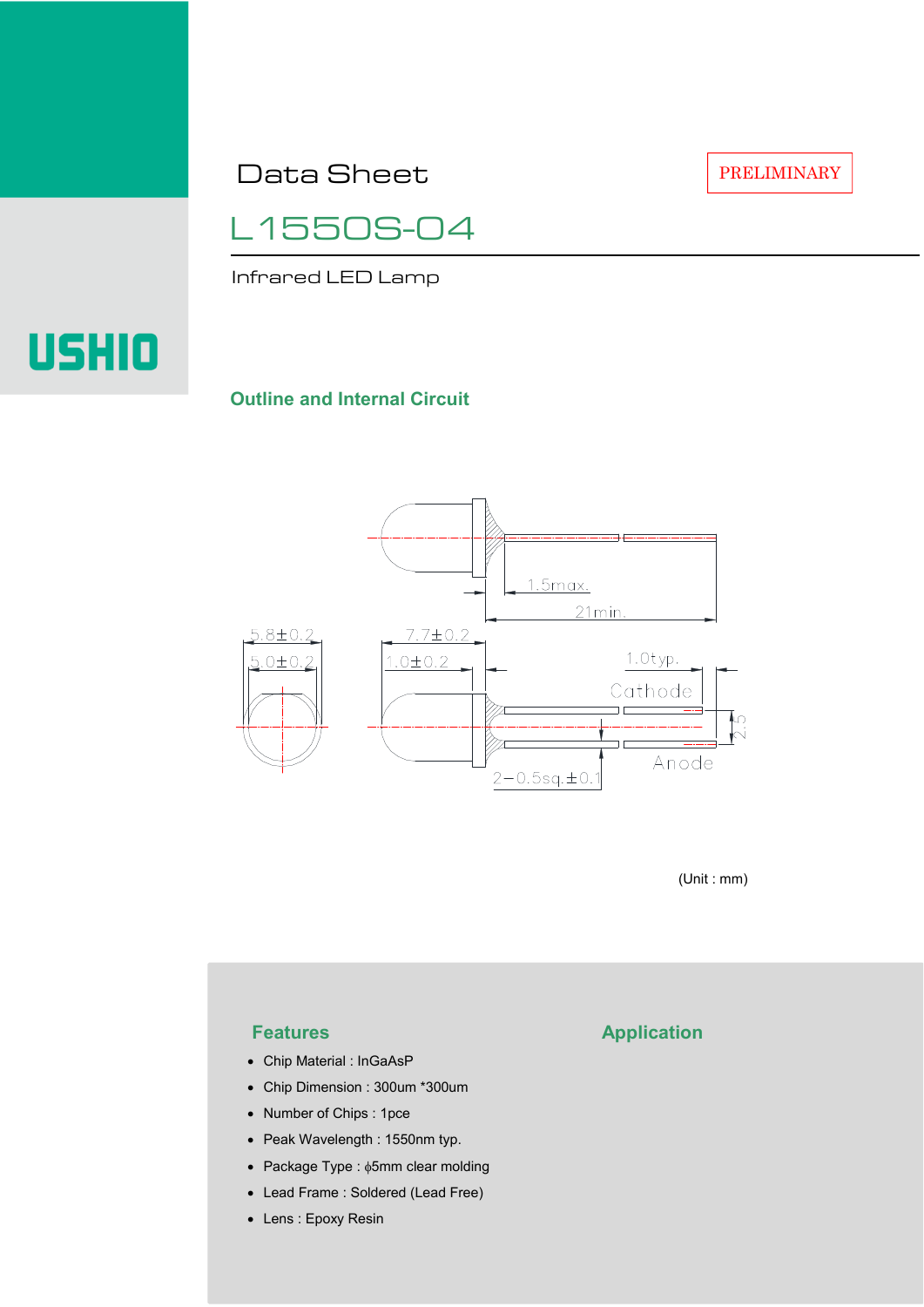Data Sheet

L1550S-04

Infrared LED Lamp

# USHIO

### **Outline and Internal Circuit**



(Unit : mm)

- Chip Material : InGaAsP
- Chip Dimension : 300um \*300um
- Number of Chips : 1pce
- Peak Wavelength : 1550nm typ.
- Package Type : φ5mm clear molding
- Lead Frame : Soldered (Lead Free)
- Lens : Epoxy Resin

## **Features Application**

PRELIMINARY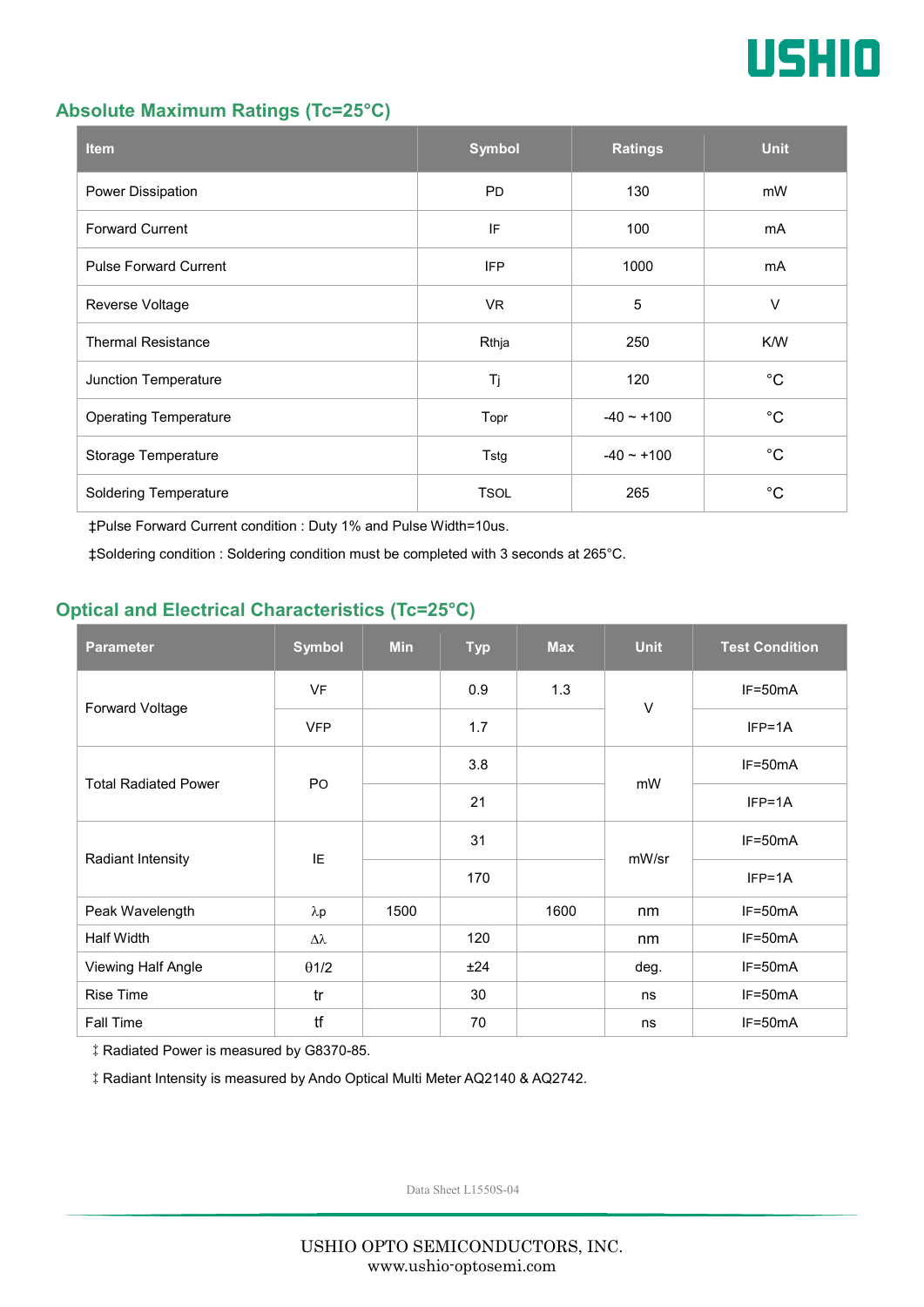

#### **Absolute Maximum Ratings (Tc=25°C)**

| <b>Item</b>                  | <b>Symbol</b> | <b>Ratings</b>  | <b>Unit</b> |
|------------------------------|---------------|-----------------|-------------|
| Power Dissipation            | <b>PD</b>     | 130             | mW          |
| <b>Forward Current</b>       | IF            | 100             | mA          |
| <b>Pulse Forward Current</b> | <b>IFP</b>    | 1000            | mA          |
| Reverse Voltage              | VR.           | $\overline{5}$  | $\vee$      |
| <b>Thermal Resistance</b>    | Rthja         | 250             | K/W         |
| Junction Temperature         | Tj            | 120             | $^{\circ}C$ |
| <b>Operating Temperature</b> | Topr          | $-40 \sim +100$ | $^{\circ}C$ |
| Storage Temperature          | Tstg          | $-40 \sim +100$ | $^{\circ}C$ |
| <b>Soldering Temperature</b> | <b>TSOL</b>   | 265             | $^{\circ}C$ |

‡Pulse Forward Current condition : Duty 1% and Pulse Width=10us.

‡Soldering condition : Soldering condition must be completed with 3 seconds at 265°C.

### **Optical and Electrical Characteristics (Tc=25°C)**

| <b>Parameter</b>            | <b>Symbol</b>    | <b>Min</b> | <b>Typ</b> | <b>Max</b> | <b>Unit</b> | <b>Test Condition</b> |
|-----------------------------|------------------|------------|------------|------------|-------------|-----------------------|
| Forward Voltage             | <b>VF</b>        |            | 0.9        | 1.3        | $\vee$      | IF=50mA               |
|                             | <b>VFP</b>       |            | 1.7        |            |             | $IFP=1A$              |
| <b>Total Radiated Power</b> | P <sub>O</sub>   |            | 3.8        |            | mW          | $IF=50mA$             |
|                             |                  |            | 21         |            |             | $IFP=1A$              |
| Radiant Intensity           | IE               |            | 31         |            | mW/sr       | $IF=50mA$             |
|                             |                  |            | 170        |            |             | $IFP=1A$              |
| Peak Wavelength             | $\lambda$ p      | 1500       |            | 1600       | nm          | $IF=50mA$             |
| <b>Half Width</b>           | $\Delta \lambda$ |            | 120        |            | nm          | $IF=50mA$             |
| Viewing Half Angle          | $\theta$ 1/2     |            | ±24        |            | deg.        | $IF=50mA$             |
| <b>Rise Time</b>            | tr               |            | 30         |            | ns          | $IF=50mA$             |
| Fall Time                   | tf               |            | 70         |            | ns          | $IF=50mA$             |

‡Radiated Power is measured by G8370-85.

‡Radiant Intensity is measured by Ando Optical Multi Meter AQ2140 & AQ2742.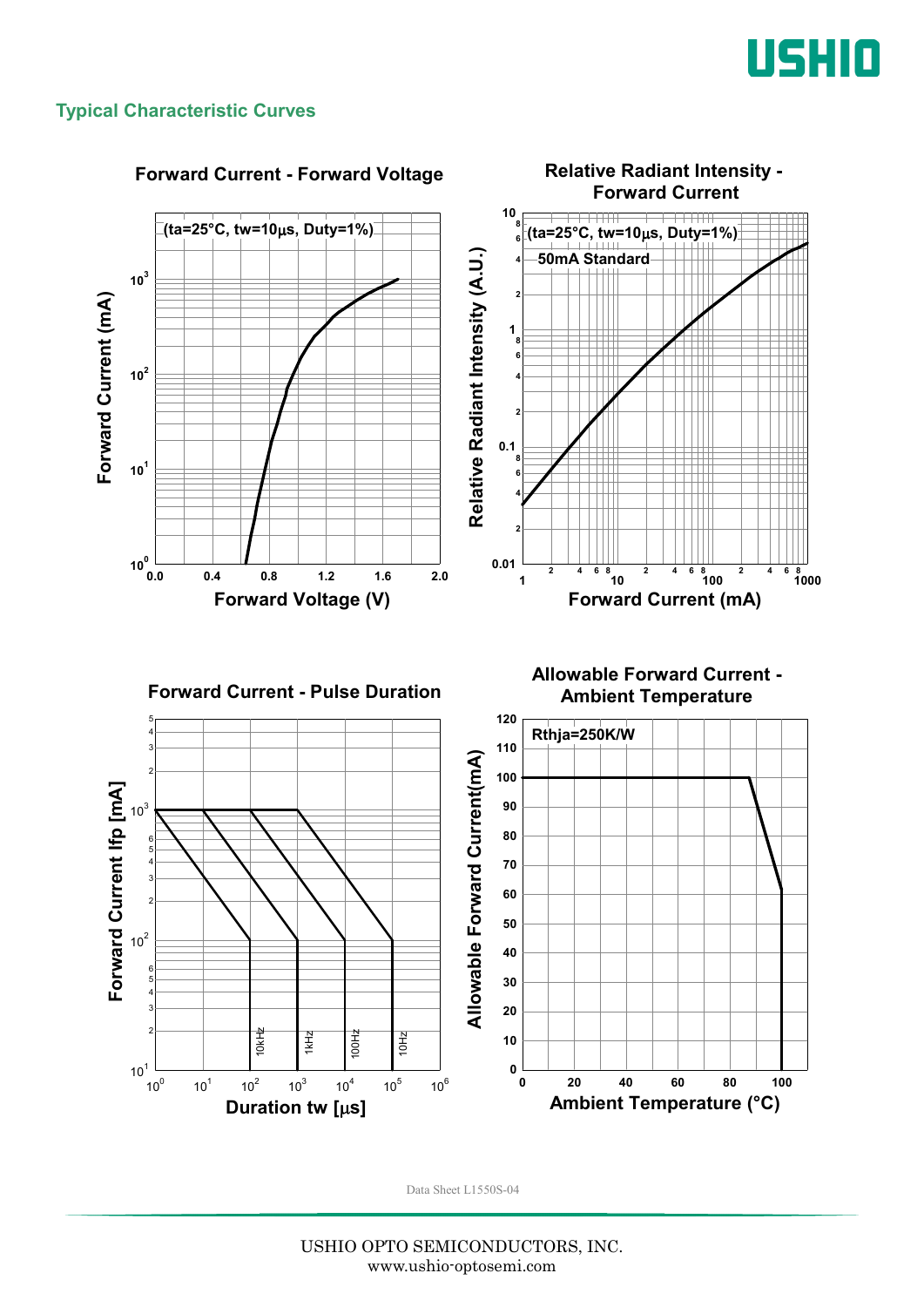

#### **Typical Characteristic Curves**

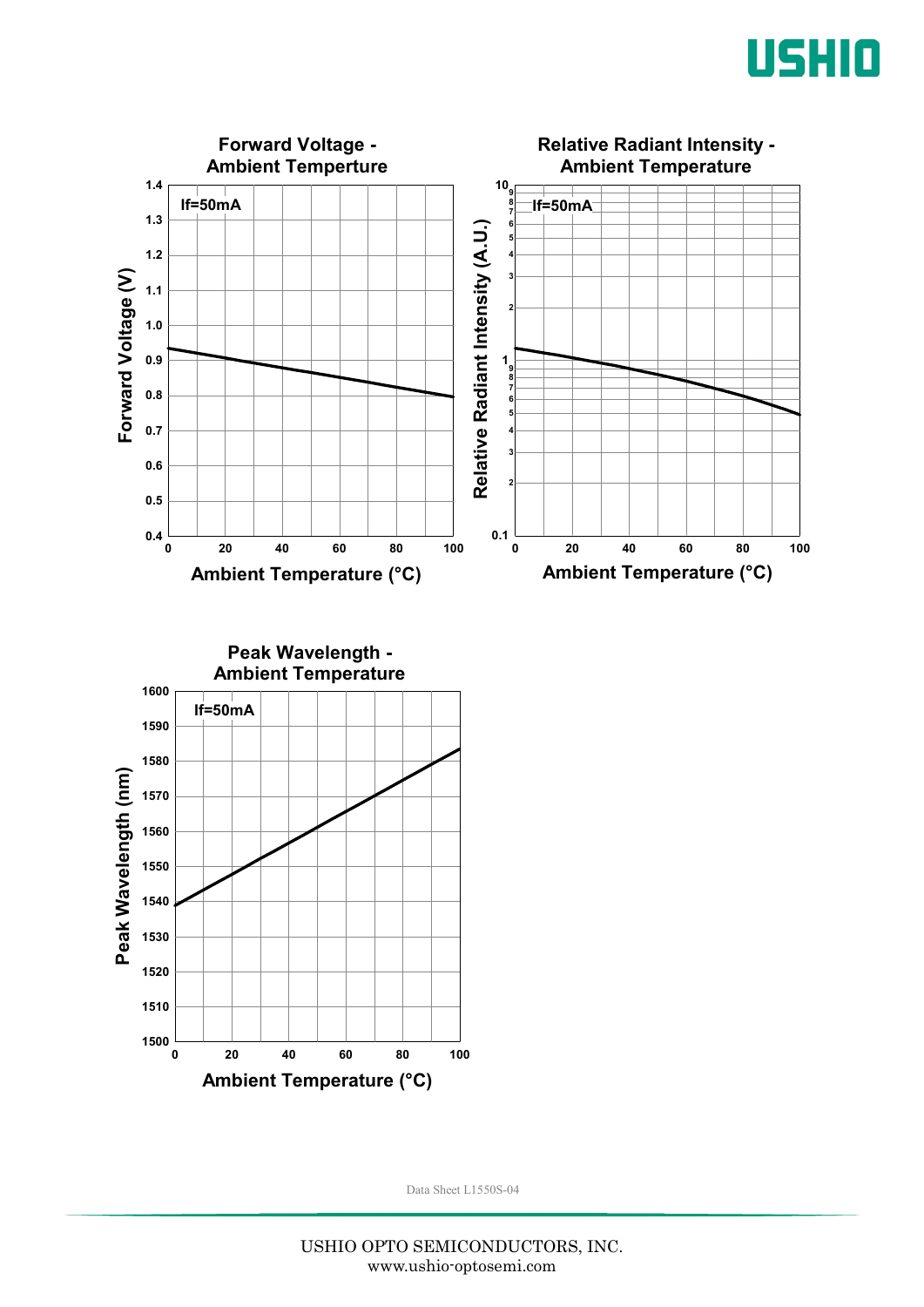



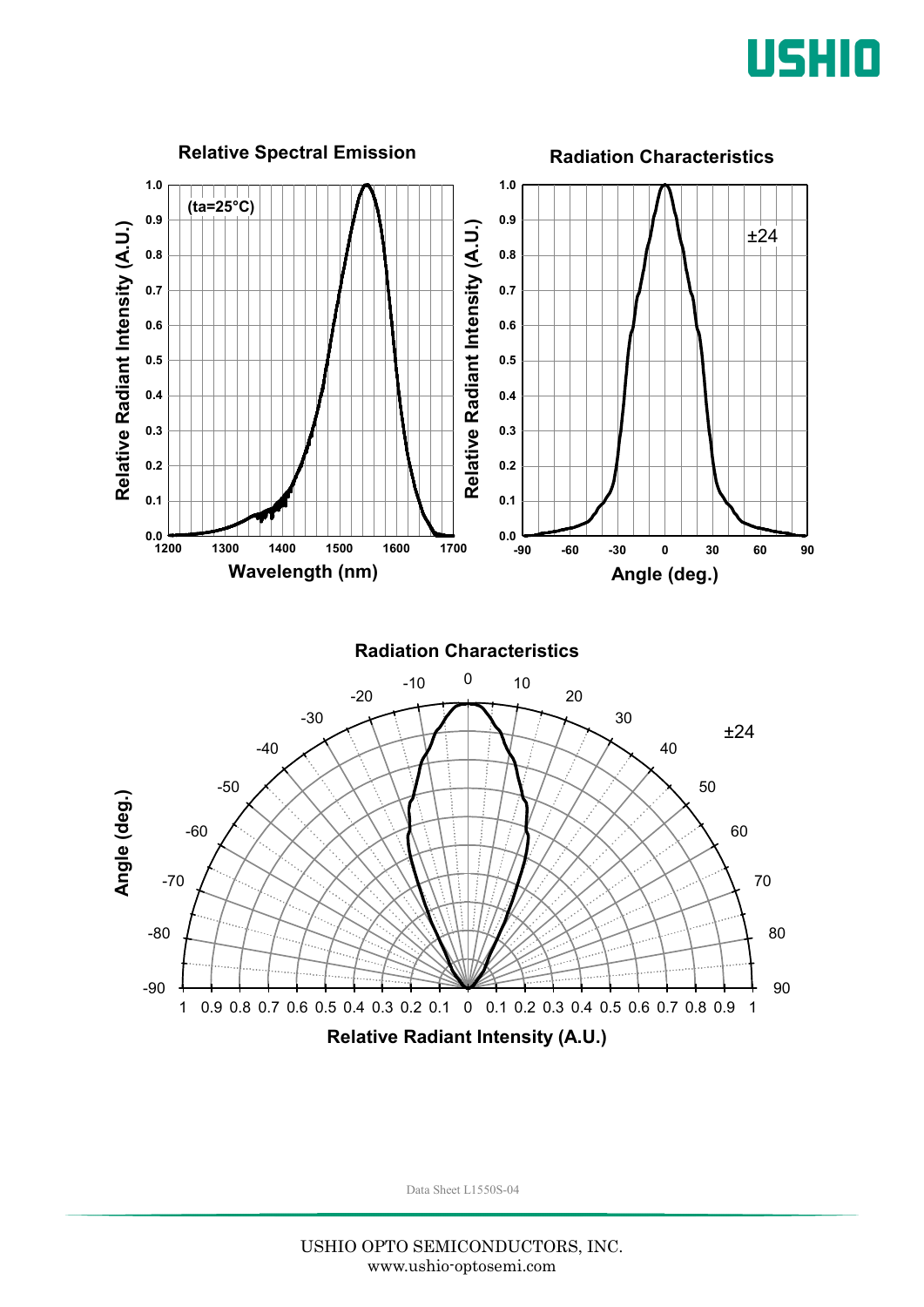